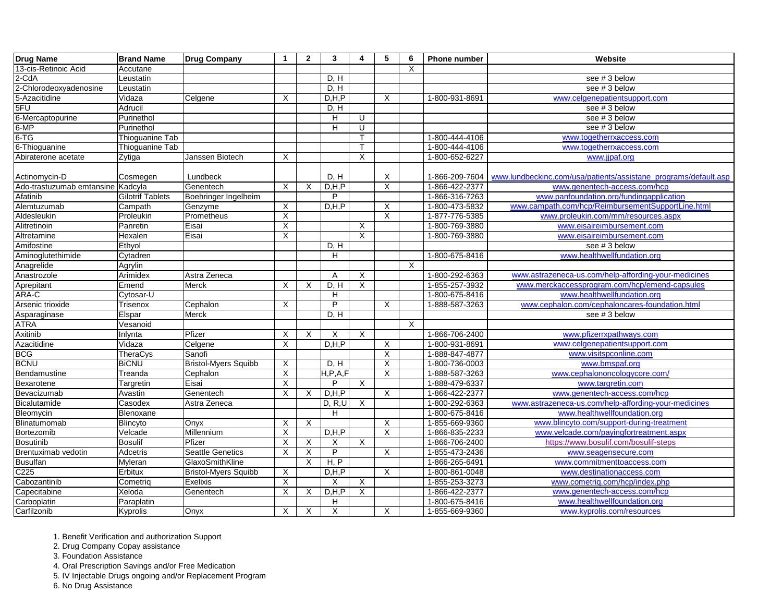| <b>Drug Name</b>                  | <b>Brand Name</b>       | <b>Drug Company</b>         | $\mathbf 1$               | $\overline{2}$            | $\mathbf{3}$              | 4            | $5\phantom{1}$            | 6 | <b>Phone number</b> | Website                                                         |
|-----------------------------------|-------------------------|-----------------------------|---------------------------|---------------------------|---------------------------|--------------|---------------------------|---|---------------------|-----------------------------------------------------------------|
| 13-cis-Retinoic Acid              | Accutane                |                             |                           |                           |                           |              |                           | X |                     |                                                                 |
| $2-CdA$                           | Leustatin               |                             |                           |                           | D, H                      |              |                           |   |                     | see #3 below                                                    |
| 2-Chlorodeoxyadenosine            | Leustatin               |                             |                           |                           | D, H                      |              |                           |   |                     | see #3 below                                                    |
| 5-Azacitidine                     | Vidaza                  | Celgene                     | X                         |                           | D, H, P                   |              | $\times$                  |   | 1-800-931-8691      | www.celgenepatientsupport.com                                   |
| 5FU                               | Adrucil                 |                             |                           |                           | D, H                      |              |                           |   |                     | see #3 below                                                    |
| 6-Mercaptopurine                  | Purinethol              |                             |                           |                           | H                         | U            |                           |   |                     | see # 3 below                                                   |
| $6-MP$                            | Purinethol              |                             |                           |                           | H                         | U            |                           |   |                     | see #3 below                                                    |
| $6-TG$                            | Thioguanine Tab         |                             |                           |                           |                           | T.           |                           |   | 1-800-444-4106      | www.togetherrxaccess.com                                        |
| 6-Thioguanine                     | Thioguanine Tab         |                             |                           |                           |                           | $\mathsf{T}$ |                           |   | 1-800-444-4106      | www.togetherrxaccess.com                                        |
| Abiraterone acetate               | Zytiga                  | Janssen Biotech             | X                         |                           |                           | $\sf X$      |                           |   | 1-800-652-6227      | www.jjpaf.org                                                   |
|                                   |                         |                             |                           |                           |                           |              |                           |   |                     |                                                                 |
| Actinomycin-D                     | Cosmegen                | Lundbeck                    |                           |                           | D, H                      |              | X                         |   | 1-866-209-7604      | www.lundbeckinc.com/usa/patients/assistane_programs/default.asp |
| Ado-trastuzumab emtansine Kadcyla |                         | Genentech                   | X                         | $\times$                  | D, H, P                   |              | $\boldsymbol{\mathsf{X}}$ |   | 1-866-422-2377      | www.genentech-access.com/hcp                                    |
| Afatinib                          | <b>Gilotrif Tablets</b> | Boehringer Ingelheim        |                           |                           | P                         |              |                           |   | 1-866-316-7263      | www.panfoundation.org/fundingapplication                        |
| Alemtuzumab                       | Campath                 | Genzyme                     | X                         |                           | D, H, P                   |              | $\times$                  |   | 1-800-473-5832      | www.campath.com/hcp/ReimbursementSupportLine.html               |
| Aldesleukin                       | Proleukin               | Prometheus                  | X                         |                           |                           |              | $\mathsf X$               |   | 1-877-776-5385      | www.proleukin.com/mm/resources.aspx                             |
| Alitretinoin                      | Panretin                | Eisai                       | $\overline{X}$            |                           |                           | X            |                           |   | 1-800-769-3880      | www.eisaireimbursement.com                                      |
| Altretamine                       | Hexalen                 | Eisai                       | $\sf X$                   |                           |                           | X            |                           |   | 1-800-769-3880      | www.eisaireimbursement.com                                      |
| Amifostine                        | Ethyol                  |                             |                           |                           | D, H                      |              |                           |   |                     | see #3 below                                                    |
| Aminoglutethimide                 | Cytadren                |                             |                           |                           | H                         |              |                           |   | 1-800-675-8416      | www.healthwellfundation.org                                     |
| Anagrelide                        | Agrylin                 |                             |                           |                           |                           |              |                           | X |                     |                                                                 |
| Anastrozole                       | Arimidex                | Astra Zeneca                |                           |                           | A                         | X            |                           |   | 1-800-292-6363      | www.astrazeneca-us.com/help-affording-your-medicines            |
| Aprepitant                        | Emend                   | Merck                       | $\times$                  | $\times$                  | D, H                      | $\mathsf X$  |                           |   | 1-855-257-3932      | www.merckaccessprogram.com/hcp/emend-capsules                   |
| ARA-C                             | Cytosar-U               |                             |                           |                           | H                         |              |                           |   | 1-800-675-8416      | www.healthwellfundation.org                                     |
| Arsenic trioxide                  | Trisenox                | Cephalon                    | X                         |                           | P                         |              | $\times$                  |   | 1-888-587-3263      | www.cephalon.com/cephaloncares-foundation.html                  |
| Asparaginase                      | Elspar                  | Merck                       |                           |                           | D, H                      |              |                           |   |                     | see #3 below                                                    |
| <b>ATRA</b>                       | Vesanoid                |                             |                           |                           |                           |              |                           | X |                     |                                                                 |
| Axitinib                          | Inlynta                 | Pfizer                      | X                         | $\times$                  | X                         | X            |                           |   | 1-866-706-2400      | www.pfizerrxpathways.com                                        |
| Azacitidine                       | Vidaza                  | Celgene                     | X                         |                           | D, H, P                   |              | $\pmb{\times}$            |   | 1-800-931-8691      | www.celgenepatientsupport.com                                   |
| <b>BCG</b>                        | TheraCys                | Sanofi                      |                           |                           |                           |              | $\overline{X}$            |   | 1-888-847-4877      | www.visitspconline.com                                          |
| <b>BCNU</b>                       | <b>BiCNU</b>            | <b>Bristol-Myers Squibb</b> | $\boldsymbol{\mathsf{X}}$ |                           | D, H                      |              | $\overline{\mathsf{X}}$   |   | 1-800-736-0003      | www.bmspaf.org                                                  |
| Bendamustine                      | Treanda                 | Cephalon                    | X                         |                           | H, P, A, F                |              | $\times$                  |   | 1-888-587-3263      | www.cephalononcologycore.com/                                   |
| Bexarotene                        | Targretin               | Eisai                       | $\boldsymbol{\mathsf{X}}$ |                           | P                         | $\mathsf{X}$ |                           |   | 1-888-479-6337      | www.targretin.com                                               |
| Bevacizumab                       | Avastin                 | Genentech                   | X                         | X                         | D, H, P                   |              | X                         |   | 1-866-422-2377      | www.genentech-access.com/hcp                                    |
| Bicalutamide                      | Casodex                 | Astra Zeneca                |                           |                           | D, R, U                   | X            |                           |   | 1-800-292-6363      | www.astrazeneca-us.com/help-affording-your-medicines            |
| Bleomycin                         | Blenoxane               |                             |                           |                           | $\boldsymbol{\mathsf{H}}$ |              |                           |   | 1-800-675-8416      | www.healthwellfoundation.org                                    |
| Blinatumomab                      | Blincyto                | Onyx                        | X                         | $\boldsymbol{\mathsf{X}}$ |                           |              | $\overline{X}$            |   | 1-855-669-9360      | www.blincyto.com/support-during-treatment                       |
| Bortezomib                        | Velcade                 | Millennium                  | X                         |                           | D, H, P                   |              | X                         |   | 1-866-835-2233      | www.velcade.com/payingfortreatment.aspx                         |
| <b>Bosutinib</b>                  | <b>Bosulif</b>          | Pfizer                      | X                         | X                         | X                         | X            |                           |   | 1-866-706-2400      | https://www.bosulif.com/bosulif-steps                           |
| Brentuximab vedotin               | Adcetris                | Seattle Genetics            | X                         | X                         | P                         |              | X                         |   | 1-855-473-2436      | www.seagensecure.com                                            |
| <b>Busulfan</b>                   | Myleran                 | GlaxoSmithKline             |                           | $\times$                  | H, P                      |              |                           |   | 1-866-265-6491      | www.commitmenttoaccess.com                                      |
| C <sub>225</sub>                  | Erbitux                 | <b>Bristol-Myers Squibb</b> | X                         |                           | D, H, P                   |              | $\boldsymbol{\mathsf{X}}$ |   | 1-800-861-0048      | www.destinationaccess.com                                       |
| Cabozantinib                      | Cometriq                | Exelixis                    | $\boldsymbol{\mathsf{X}}$ |                           | X                         | $\mathsf X$  |                           |   | 1-855-253-3273      | www.cometriq.com/hcp/index.php                                  |
| Capecitabine                      | Xeloda                  | Genentech                   | X                         | $\times$                  | D, H, P                   | X            |                           |   | 1-866-422-2377      | www.genentech-access.com/hcp                                    |
| Carboplatin                       | Paraplatin              |                             |                           |                           | H                         |              |                           |   | 1-800-675-8416      | www.healthwellfoundation.org                                    |
| Carfilzonib                       | Kyprolis                | Onyx                        | X                         | $\times$                  | X                         |              | X                         |   | 1-855-669-9360      | www.kyprolis.com/resources                                      |

2. Drug Company Copay assistance

3. Foundation Assistance

4. Oral Prescription Savings and/or Free Medication

5. IV Injectable Drugs ongoing and/or Replacement Program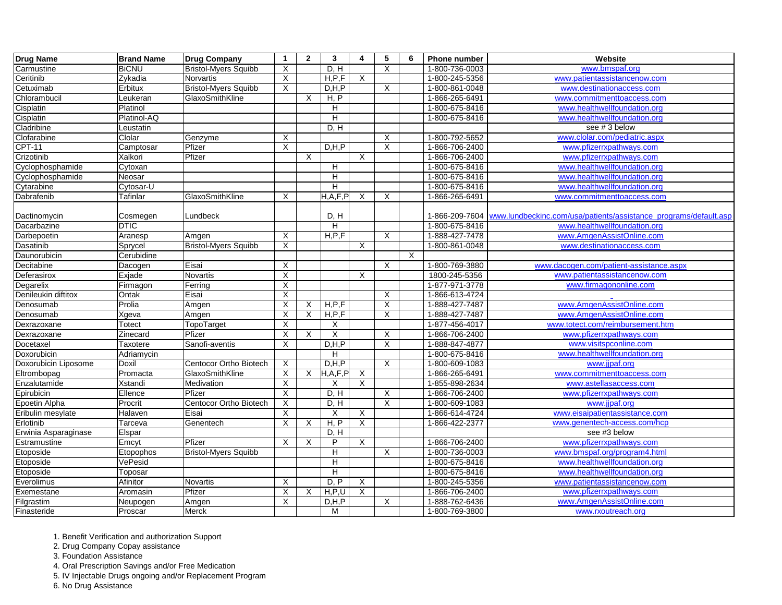| <b>Drug Name</b>     | <b>Brand Name</b> | <b>Drug Company</b>         | $\mathbf 1$               | $\overline{2}$            | 3          | 4                         | $5\phantom{1}$            | 6 | <b>Phone number</b> | Website                                                          |
|----------------------|-------------------|-----------------------------|---------------------------|---------------------------|------------|---------------------------|---------------------------|---|---------------------|------------------------------------------------------------------|
| Carmustine           | <b>BiCNU</b>      | <b>Bristol-Myers Squibb</b> | X                         |                           | D, H       |                           | X                         |   | 1-800-736-0003      | www.bmspaf.org                                                   |
| Ceritinib            | Zykadia           | Norvartis                   | X                         |                           | H, P, F    | $\overline{X}$            |                           |   | 1-800-245-5356      | www.patientassistancenow.com                                     |
| Cetuximab            | Erbitux           | <b>Bristol-Myers Squibb</b> | $\pmb{\times}$            |                           | D, H, P    |                           | X                         |   | 1-800-861-0048      | www.destinationaccess.com                                        |
| Chlorambucil         | Leukeran          | GlaxoSmithKline             |                           | $\times$                  | H, P       |                           |                           |   | 1-866-265-6491      | www.commitmenttoaccess.com                                       |
| Cisplatin            | Platinol          |                             |                           |                           | Н          |                           |                           |   | 1-800-675-8416      | www.healthwellfoundation.org                                     |
| Cisplatin            | Platinol-AQ       |                             |                           |                           | Н          |                           |                           |   | 1-800-675-8416      | www.healthwellfoundation.org                                     |
| Cladribine           | Leustatin         |                             |                           |                           | D, H       |                           |                           |   |                     | see #3 below                                                     |
| Clofarabine          | Clolar            | Genzyme                     | X                         |                           |            |                           | X                         |   | 1-800-792-5652      | www.clolar.com/pediatric.aspx                                    |
| <b>CPT-11</b>        | Camptosar         | Pfizer                      | $\overline{X}$            |                           | D, H, P    |                           | $\overline{\mathsf{x}}$   |   | 1-866-706-2400      | www.pfizerrxpathways.com                                         |
| Crizotinib           | Xalkori           | Pfizer                      |                           | $\boldsymbol{\mathsf{X}}$ |            | $\boldsymbol{\mathsf{X}}$ |                           |   | 1-866-706-2400      | www.pfizerrxpathways.com                                         |
| Cyclophosphamide     | Cytoxan           |                             |                           |                           | н          |                           |                           |   | 1-800-675-8416      | www.healthwellfoundation.org                                     |
| Cyclophosphamide     | Neosar            |                             |                           |                           | H          |                           |                           |   | 1-800-675-8416      | www.healthwellfoundation.org                                     |
| Cytarabine           | Cytosar-U         |                             |                           |                           | Η          |                           |                           |   | 1-800-675-8416      | www.healthwellfoundation.org                                     |
| Dabrafenib           | <b>Tafinlar</b>   | GlaxoSmithKline             | X                         |                           | H, A, F, P | $\boldsymbol{\mathsf{X}}$ | $\sf X$                   |   | 1-866-265-6491      | www.commitmenttoaccess.com                                       |
| Dactinomycin         | Cosmegen          | Lundbeck                    |                           |                           | D, H       |                           |                           |   | 1-866-209-7604      | www.lundbeckinc.com/usa/patients/assistance_programs/default.asp |
| Dacarbazine          | <b>DTIC</b>       |                             |                           |                           | H          |                           |                           |   | 1-800-675-8416      | www.healthwellfoundation.org                                     |
| Darbepoetin          | Aranesp           | Amgen                       | X                         |                           | H, P, F    |                           | X                         |   | 1-888-427-7478      | www.AmgenAssistOnline.com                                        |
| Dasatinib            | Sprycel           | <b>Bristol-Myers Squibb</b> | X                         |                           |            | X                         |                           |   | 1-800-861-0048      | www.destinationaccess.com                                        |
| Daunorubicin         | Cerubidine        |                             |                           |                           |            |                           |                           | X |                     |                                                                  |
| Decitabine           | Dacogen           | Eisai                       | X                         |                           |            |                           | X                         |   | 1-800-769-3880      | www.dacogen.com/patient-assistance.aspx                          |
| Deferasirox          | Exjade            | Novartis                    | X                         |                           |            | X                         |                           |   | 1800-245-5356       | www.patientassistancenow.com                                     |
| Degarelix            | Firmagon          | Ferring                     | $\overline{X}$            |                           |            |                           |                           |   | 1-877-971-3778      | www.firmagononline.com                                           |
| Denileukin diftitox  | Ontak             | Eisai                       | $\mathsf X$               |                           |            |                           | $\boldsymbol{\mathsf{X}}$ |   | 1-866-613-4724      |                                                                  |
| Denosumab            | Prolia            | Amgen                       | X                         | X                         | H, P, F    |                           | X                         |   | 1-888-427-7487      | www.AmgenAssistOnline.com                                        |
| Denosumab            | Xgeva             | Amgen                       | X                         | $\times$                  | H, P, F    |                           | X                         |   | 1-888-427-7487      | www.AmgenAssistOnline.com                                        |
| Dexrazoxane          | <b>Totect</b>     | TopoTarget                  | X                         |                           | Χ          |                           |                           |   | 1-877-456-4017      | www.totect.com/reimbursement.htm                                 |
| Dexrazoxane          | Zinecard          | Pfizer                      | X                         | $\times$                  | Χ          |                           | X                         |   | 1-866-706-2400      | www.pfizerrxpathways.com                                         |
| Docetaxel            | Taxotere          | Sanofi-aventis              | $\pmb{\times}$            |                           | D, H, P    |                           | $\overline{\mathsf{x}}$   |   | 1-888-847-4877      | www.visitspconline.com                                           |
| Doxorubicin          | Adriamycin        |                             |                           |                           | н          |                           |                           |   | 1-800-675-8416      | www.healthwellfoundation.org                                     |
| Doxorubicin Liposome | Doxil             | Centocor Ortho Biotech      | X                         |                           | D, H, P    |                           | X                         |   | 1-800-609-1083      | www.jjpaf.org                                                    |
| Eltrombopag          | Promacta          | GlaxoSmithKline             | $\overline{\mathsf{x}}$   | $\times$                  | H, A, F, P | X                         |                           |   | 1-866-265-6491      | www.commitmenttoaccess.com                                       |
| Enzalutamide         | Xstandi           | Medivation                  | X                         |                           | Χ          | $\mathsf{X}$              |                           |   | 1-855-898-2634      | www.astellasaccess.com                                           |
| Epirubicin           | Ellence           | Pfizer                      | X                         |                           | D, H       |                           | X                         |   | 1-866-706-2400      | www.pfizerrxpathways.com                                         |
| Epoetin Alpha        | Procrit           | Centocor Ortho Biotech      | X                         |                           | D, H       |                           | $\times$                  |   | 1-800-609-1083      | www.jjpaf.org                                                    |
| Eribulin mesylate    | Halaven           | Eisai                       | $\boldsymbol{\mathsf{X}}$ |                           | $\sf X$    | X                         |                           |   | 1-866-614-4724      | www.eisaipatientassistance.com                                   |
| Erlotinib            | Tarceva           | Genentech                   | X                         | X                         | H, P       | X                         |                           |   | 1-866-422-2377      | www.genentech-access.com/hcp                                     |
| Erwinia Asparaginase | Elspar            |                             |                           |                           | D, H       |                           |                           |   |                     | see #3 below                                                     |
| Estramustine         | Emcyt             | Pfizer                      | X                         | X                         | P          | X                         |                           |   | 1-866-706-2400      | www.pfizerrxpathways.com                                         |
| Etoposide            | Etopophos         | <b>Bristol-Myers Squibb</b> |                           |                           | Н          |                           | $\mathsf{X}$              |   | 1-800-736-0003      | www.bmspaf.org/program4.html                                     |
| Etoposide            | VePesid           |                             |                           |                           | Η          |                           |                           |   | 1-800-675-8416      | www.healthwellfoundation.org                                     |
| Etoposide            | Toposar           |                             |                           |                           | H          |                           |                           |   | 1-800-675-8416      | www.healthwellfoundation.org                                     |
| Everolimus           | Afinitor          | Novartis                    | X                         |                           | D, P       | $\boldsymbol{X}$          |                           |   | 1-800-245-5356      | www.patientassistancenow.com                                     |
| Exemestane           | Aromasin          | Pfizer                      | $\mathsf X$               | $\boldsymbol{\mathsf{X}}$ | H, P, U    | $\overline{X}$            |                           |   | 1-866-706-2400      | www.pfizerrxpathways.com                                         |
| Filgrastim           | Neupogen          | Amgen                       | X                         |                           | D, H, P    |                           | $\mathsf{X}$              |   | 1-888-762-6436      | www.AmgenAssistOnline.com                                        |
| Finasteride          | Proscar           | Merck                       |                           |                           | М          |                           |                           |   | 1-800-769-3800      | www.rxoutreach.org                                               |

2. Drug Company Copay assistance

3. Foundation Assistance

4. Oral Prescription Savings and/or Free Medication

5. IV Injectable Drugs ongoing and/or Replacement Program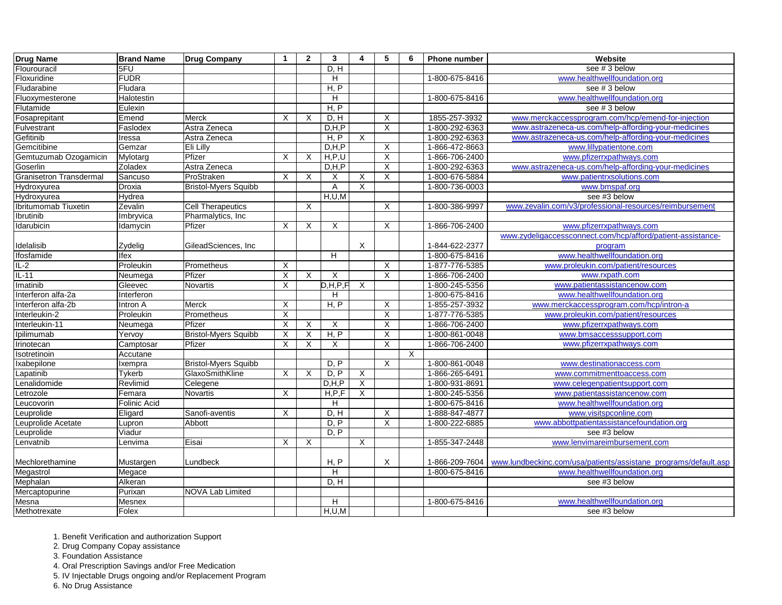| Drug Name                      | <b>Brand Name</b> | <b>Drug Company</b>         | 1              | $\overline{2}$ | $\mathbf{3}$              | 4              | $5\phantom{1}$            | 6       | <b>Phone number</b> | Website                                                         |
|--------------------------------|-------------------|-----------------------------|----------------|----------------|---------------------------|----------------|---------------------------|---------|---------------------|-----------------------------------------------------------------|
| Flourouracil                   | 5FU               |                             |                |                | D, H                      |                |                           |         |                     | see #3 below                                                    |
| Floxuridine                    | <b>FUDR</b>       |                             |                |                | H                         |                |                           |         | 1-800-675-8416      | www.healthwellfoundation.org                                    |
| Fludarabine                    | Fludara           |                             |                |                | H, P                      |                |                           |         |                     | see #3 below                                                    |
| Fluoxymesterone                | Halotestin        |                             |                |                | H                         |                |                           |         | 1-800-675-8416      | www.healthwellfoundation.org                                    |
| Flutamide                      | Eulexin           |                             |                |                | H, P                      |                |                           |         |                     | see #3 below                                                    |
| Fosaprepitant                  | Emend             | Merck                       | X              | X              | D, H                      |                | X                         |         | 1855-257-3932       | www.merckaccessprogram.com/hcp/emend-for-injection              |
| Fulvestrant                    | Faslodex          | Astra Zeneca                |                |                | D, H, P                   |                | $\overline{X}$            |         | 1-800-292-6363      | www.astrazeneca-us.com/help-affording-your-medicines            |
| Gefitinib                      | Iressa            | Astra Zeneca                |                |                | H, P                      | $\sf X$        |                           |         | 1-800-292-6363      | www.astrazeneca-us.com/help-affording-your-medicines            |
| Gemcitibine                    | Gemzar            | Eli Lilly                   |                |                | D, H, P                   |                | X                         |         | 1-866-472-8663      | www.lillypatientone.com                                         |
| Gemtuzumab Ozogamicin          | Mylotarg          | Pfizer                      | X              | X              | H, P, U                   |                | $\mathsf X$               |         | 1-866-706-2400      | www.pfizerrxpathways.com                                        |
| Goserlin                       | Zoladex           | Astra Zeneca                |                |                | D, H, P                   |                | $\overline{X}$            |         | 1-800-292-6363      | www.astrazeneca-us.com/help-affording-your-medicines            |
| <b>Granisetron Transdermal</b> | Sancuso           | ProStraken                  | X              | X              | X                         | X              | X                         |         | 1-800-676-5884      | www.patientrxsolutions.com                                      |
| Hydroxyurea                    | Droxia            | <b>Bristol-Myers Squibb</b> |                |                | Α                         | X              |                           |         | 1-800-736-0003      | www.bmspaf.org                                                  |
| Hydroxyurea                    | Hydrea            |                             |                |                | H, U, M                   |                |                           |         |                     | see #3 below                                                    |
| Ibritumomab Tiuxetin           | Zevalin           | <b>Cell Therapeutics</b>    |                | $\sf X$        |                           |                | X                         |         | 1-800-386-9997      | www.zevalin.com/v3/professional-resources/reimbursement         |
| Ibrutinib                      | Imbryvica         | Pharmalytics, Inc           |                |                |                           |                |                           |         |                     |                                                                 |
| Idarubicin                     | Idamycin          | Pfizer                      | X              | X              | $\boldsymbol{\mathsf{X}}$ |                | $\pmb{\times}$            |         | 1-866-706-2400      | www.pfizerrxpathways.com                                        |
|                                |                   |                             |                |                |                           |                |                           |         |                     | www.zydeligaccessconnect.com/hcp/afford/patient-assistance-     |
| Idelalisib                     | Zydelig           | GileadSciences, Inc         |                |                |                           | $\mathsf X$    |                           |         | 1-844-622-2377      | program                                                         |
| Ifosfamide                     | Ifex              |                             |                |                | H                         |                |                           |         | 1-800-675-8416      | www.healthwellfoundation.org                                    |
| $IL-2$                         | Proleukin         | Prometheus                  | X              |                |                           |                | X                         |         | 1-877-776-5385      | www.proleukin.com/patient/resources                             |
| $IL-11$                        | Neumega           | Pfizer                      | X              | X              | $\boldsymbol{\mathsf{X}}$ |                | $\overline{\mathsf{x}}$   |         | 1-866-706-2400      | www.rxpath.com                                                  |
| Imatinib                       | Gleevec           | Novartis                    | $\pmb{\times}$ |                | D, H, P, F                | $\mathsf{X}$   |                           |         | 1-800-245-5356      | www.patientassistancenow.com                                    |
| Interferon alfa-2a             | Interferon        |                             |                |                | H                         |                |                           |         | 1-800-675-8416      | www.healthwellfoundation.org                                    |
| Interferon alfa-2b             | Intron A          | <b>Merck</b>                | X              |                | H, P                      |                | $\boldsymbol{\mathsf{X}}$ |         | 1-855-257-3932      | www.merckaccessprogram.com/hcp/intron-a                         |
| Interleukin-2                  | Proleukin         | Prometheus                  | X              |                |                           |                | $\pmb{\times}$            |         | 1-877-776-5385      | www.proleukin.com/patient/resources                             |
| Interleukin-11                 | Neumega           | Pfizer                      | Χ              | X              | X                         |                | $\pmb{\times}$            |         | 1-866-706-2400      | www.pfizerrxpathways.com                                        |
| Ipilimumab                     | Yervoy            | <b>Bristol-Myers Squibb</b> | $\mathsf X$    | X              | H, P                      |                | $\pmb{\times}$            |         | 1-800-861-0048      | www.bmsaccesssupport.com                                        |
| Irinotecan                     | Camptosar         | Pfizer                      | X              | X              | X                         |                | $\pmb{\times}$            |         | 1-866-706-2400      | www.pfizerrxpathways.com                                        |
| Isotretinoin                   | Accutane          |                             |                |                |                           |                |                           | $\sf X$ |                     |                                                                 |
| Ixabepilone                    | Ixempra           | <b>Bristol-Myers Squibb</b> |                |                | D, P                      |                | $\sf X$                   |         | 1-800-861-0048      | www.destinationaccess.com                                       |
| Lapatinib                      | Tykerb            | GlaxoSmithKline             | X              | X              | D, P                      | $\sf X$        |                           |         | 1-866-265-6491      | www.commitmenttoaccess.com                                      |
| Lenalidomide                   | Revlimid          | Celegene                    |                |                | D, H, P                   | $\overline{X}$ |                           |         | 1-800-931-8691      | www.celegenpatientsupport.com                                   |
| Letrozole                      | Femara            | Novartis                    | X              |                | H, P, F                   | $\mathsf X$    |                           |         | 1-800-245-5356      | www.patientassistancenow.com                                    |
| Leucovorin                     | Folinic Acid      |                             |                |                | H                         |                |                           |         | 1-800-675-8416      | www.healthwellfoundation.org                                    |
| Leuprolide                     | Eligard           | Sanofi-aventis              | X              |                | D, H                      |                | $\mathsf X$               |         | 1-888-847-4877      | www.visitspconline.com                                          |
| Leuprolide Acetate             | Lupron            | Abbott                      |                |                | D, P                      |                | $\pmb{\times}$            |         | 1-800-222-6885      | www.abbottpatientassistancefoundation.org                       |
| Leuprolide                     | Viadur            |                             |                |                | D, P                      |                |                           |         |                     | see #3 below                                                    |
| Lenvatnib                      | Lenvima           | Eisai                       | X              | X              |                           | X              |                           |         | 1-855-347-2448      | www.lenvimareimbursement.com                                    |
|                                |                   |                             |                |                |                           |                |                           |         |                     |                                                                 |
| Mechlorethamine                | Mustargen         | Lundbeck                    |                |                | H, P                      |                | X                         |         | 1-866-209-7604      | www.lundbeckinc.com/usa/patients/assistane_programs/default.asp |
| Megastrol                      | Megace            |                             |                |                | H                         |                |                           |         | 1-800-675-8416      | www.healthwellfoundation.org                                    |
| Mephalan                       | Alkeran           |                             |                |                | D, H                      |                |                           |         |                     | see #3 below                                                    |
| Mercaptopurine                 | Purixan           | <b>NOVA Lab Limited</b>     |                |                |                           |                |                           |         |                     |                                                                 |
| Mesna                          | Mesnex            |                             |                |                | H                         |                |                           |         | 1-800-675-8416      | www.healthwellfoundation.org                                    |
| Methotrexate                   | Folex             |                             |                |                | H, U, M                   |                |                           |         |                     | see #3 below                                                    |

2. Drug Company Copay assistance

3. Foundation Assistance

4. Oral Prescription Savings and/or Free Medication

5. IV Injectable Drugs ongoing and/or Replacement Program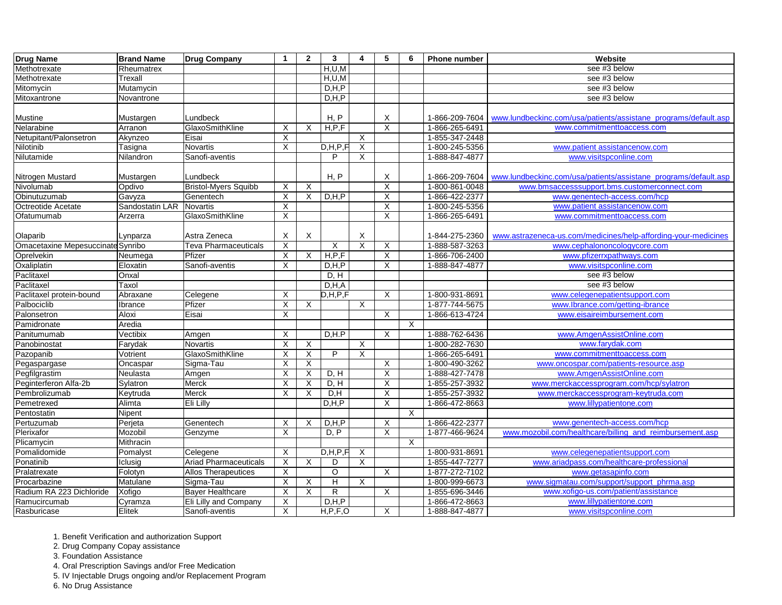| Drug Name                         | <b>Brand Name</b>         | <b>Drug Company</b>                      | $\mathbf 1$               | $\overline{2}$ | $\mathbf{3}$ | 4              | 5                         | 6            | <b>Phone number</b>              | Website                                                         |
|-----------------------------------|---------------------------|------------------------------------------|---------------------------|----------------|--------------|----------------|---------------------------|--------------|----------------------------------|-----------------------------------------------------------------|
| Methotrexate                      | Rheumatrex                |                                          |                           |                | H, U, M      |                |                           |              |                                  | see #3 below                                                    |
| Methotrexate                      | Trexall                   |                                          |                           |                | H, U, M      |                |                           |              |                                  | see #3 below                                                    |
| Mitomycin                         | Mutamycin                 |                                          |                           |                | D, H, P      |                |                           |              |                                  | see #3 below                                                    |
| Mitoxantrone                      | Novantrone                |                                          |                           |                | D, H, P      |                |                           |              |                                  | see #3 below                                                    |
|                                   |                           |                                          |                           |                |              |                |                           |              |                                  |                                                                 |
| <b>Mustine</b>                    | Mustargen                 | Lundbeck                                 |                           |                | H, P         |                | Χ                         |              | 1-866-209-7604                   | www.lundbeckinc.com/usa/patients/assistane_programs/default.asp |
| Nelarabine                        | Arranon                   | GlaxoSmithKline                          | X                         | $\times$       | H, P, F      |                | $\overline{X}$            |              | 1-866-265-6491                   | www.commitmenttoaccess.com                                      |
| Netupitant/Palonsetron            | Akynzeo                   | Eisai                                    | X                         |                |              | X              |                           |              | 1-855-347-2448                   |                                                                 |
| Nilotinib                         | Tasigna                   | <b>Novartis</b>                          | $\boldsymbol{\mathsf{X}}$ |                | D, H, P, F   | X              |                           |              | 1-800-245-5356                   | www.patient assistancenow.com                                   |
| Nilutamide                        | Nilandron                 | Sanofi-aventis                           |                           |                | P            | Χ              |                           |              | 1-888-847-4877                   | www.visitspconline.com                                          |
|                                   |                           | Lundbeck                                 |                           |                | H, P         |                | X                         |              | 1-866-209-7604                   | www.lundbeckinc.com/usa/patients/assistane_programs/default.asp |
| Nitrogen Mustard<br>Nivolumab     | Mustargen                 |                                          |                           |                |              |                | $\boldsymbol{\mathsf{X}}$ |              |                                  | www.bmsaccesssupport.bms.customerconnect.com                    |
| Obinutuzumab                      | Opdivo                    | <b>Bristol-Myers Squibb</b><br>Genentech | X                         | X<br>$\times$  | D, H, P      |                | $\mathsf X$               |              | 1-800-861-0048<br>1-866-422-2377 | www.genentech-access.com/hcp                                    |
|                                   | Gavyza<br>Sandostatin LAR | Novartis                                 | X                         |                |              |                | X                         |              |                                  |                                                                 |
| Octreotide Acetate<br>Ofatumumab  |                           | GlaxoSmithKline                          | X                         |                |              |                |                           |              | 1-800-245-5356                   | www.patient assistancenow.com                                   |
|                                   | Arzerra                   |                                          | X                         |                |              |                | X                         |              | 1-866-265-6491                   | www.commitmenttoaccess.com                                      |
| Olaparib                          | Lynparza                  | Astra Zeneca                             | X                         | $\times$       |              | X              |                           |              | 1-844-275-2360                   | www.astrazeneca-us.com/medicines/help-affording-your-medicines  |
| Omacetaxine Mepesuccinate Synribo |                           | <b>Teva Pharmaceuticals</b>              | $\sf X$                   |                | X            | $\overline{X}$ | X                         |              | 1-888-587-3263                   | www.cephalononcologycore.com                                    |
| Oprelvekin                        | Neumega                   | Pfizer                                   | X                         | $\times$       | H, P, F      |                | $\boldsymbol{\mathsf{X}}$ |              | 1-866-706-2400                   | www.pfizerrxpathways.com                                        |
| Oxaliplatin                       | Eloxatin                  | Sanofi-aventis                           | X                         |                | D, H, P      |                | $\overline{\mathsf{X}}$   |              | 1-888-847-4877                   | www.visitspconline.com                                          |
| Paclitaxel                        | Onxal                     |                                          |                           |                | D, H         |                |                           |              |                                  | see #3 below                                                    |
| Paclitaxel                        | Taxol                     |                                          |                           |                | D, H, A      |                |                           |              |                                  | see #3 below                                                    |
| Paclitaxel protein-bound          | Abraxane                  | Celegene                                 | X                         |                | D, H, P, F   |                | X                         |              | 1-800-931-8691                   | www.celegenepatientsupport.com                                  |
| Palbociclib                       | Ibrance                   | Pfizer                                   | X                         | X              |              | $\mathsf{X}$   |                           |              | 1-877-744-5675                   | www.lbrance.com/getting-ibrance                                 |
| Palonsetron                       | Aloxi                     | Eisai                                    | X                         |                |              |                | X                         |              | 1-866-613-4724                   | www.eisaireimbursement.com                                      |
| Pamidronate                       | Aredia                    |                                          |                           |                |              |                |                           | $\mathsf{X}$ |                                  |                                                                 |
| Panitumumab                       | Vectibix                  | Amgen                                    | X                         |                | D, H, P      |                | X                         |              | 1-888-762-6436                   | www.AmgenAssistOnline.com                                       |
| Panobinostat                      | Farydak                   | Novartis                                 | X                         | $\times$       |              | X              |                           |              | 1-800-282-7630                   | www.farydak.com                                                 |
| Pazopanib                         | Votrient                  | GlaxoSmithKline                          | $\boldsymbol{\mathsf{X}}$ | $\times$       | P            | X              |                           |              | 1-866-265-6491                   | www.commitmenttoaccess.com                                      |
| Pegaspargase                      | Oncaspar                  | Sigma-Tau                                | X                         | $\times$       |              |                | $\boldsymbol{\mathsf{X}}$ |              | 1-800-490-3262                   | www.oncospar.com/patients-resource.asp                          |
| Pegfilgrastim                     | Neulasta                  | Amgen                                    | X                         | $\times$       | D, H         |                | X                         |              | 1-888-427-7478                   | www.AmgenAssistOnline.com                                       |
| Peginterferon Alfa-2b             | Sylatron                  | Merck                                    | $\boldsymbol{\mathsf{X}}$ | $\times$       | D, H         |                | $\overline{X}$            |              | 1-855-257-3932                   | www.merckaccessprogram.com/hcp/sylatron                         |
| Pembrolizumab                     | Keytruda                  | Merck                                    | X                         | X              | D, H         |                | Χ                         |              | 1-855-257-3932                   | www.merckaccessprogram-keytruda.com                             |
| Pemetrexed                        | Alimta                    | Eli Lilly                                |                           |                | D, H, P      |                | X                         |              | 1-866-472-8663                   | www.lillypatientone.com                                         |
| Pentostatin                       | Nipent                    |                                          |                           |                |              |                |                           | X            |                                  |                                                                 |
| Pertuzumab                        | Perjeta                   | Genentech                                | X                         | $\times$       | D, H, P      |                | $\overline{\mathsf{X}}$   |              | 1-866-422-2377                   | www.genentech-access.com/hcp                                    |
| Plerixafor                        | Mozobil                   | Genzyme                                  | X                         |                | D, P         |                | X                         |              | 1-877-466-9624                   | www.mozobil.com/healthcare/billing and reimbursement.asp        |
| Plicamycin                        | Mithracin                 |                                          |                           |                |              |                |                           | X            |                                  |                                                                 |
| Pomalidomide                      | Pomalyst                  | Celegene                                 | X                         |                | D, H, P, F   | $\mathsf{X}$   |                           |              | 1-800-931-8691                   | www.celegenepatientsupport.com                                  |
| Ponatinib                         | Iclusig                   | <b>Ariad Pharmaceuticals</b>             | X                         | X              | D            | X              |                           |              | 1-855-447-7277                   | www.ariadpass.com/healthcare-professional                       |
| Pralatrexate                      | Folotyn                   | <b>Allos Therapeutices</b>               | $\boldsymbol{\mathsf{X}}$ |                | $\circ$      |                | $\boldsymbol{\mathsf{X}}$ |              | 1-877-272-7102                   | www.getasapinfo.com                                             |
| Procarbazine                      | Matulane                  | Sigma-Tau                                | $\boldsymbol{\mathsf{X}}$ | X              | H            | $\mathsf X$    |                           |              | 1-800-999-6673                   | www.sigmatau.com/support/support_phrma.asp                      |
| Radium RA 223 Dichloride          | Xofigo                    | <b>Bayer Healthcare</b>                  | $\sf X$                   | $\times$       | $\mathsf{R}$ |                | X                         |              | 1-855-696-3446                   | www.xofigo-us.com/patient/assistance                            |
| Ramucircumab                      | Cyramza                   | Eli Lilly and Company                    | $\mathsf X$               |                | D, H, P      |                |                           |              | 1-866-472-8663                   | www.lillypatientone.com                                         |
| Rasburicase                       | Elitek                    | Sanofi-aventis                           | X                         |                | H, P, F, O   |                | X                         |              | 1-888-847-4877                   | www.visitspconline.com                                          |

2. Drug Company Copay assistance

3. Foundation Assistance

4. Oral Prescription Savings and/or Free Medication

5. IV Injectable Drugs ongoing and/or Replacement Program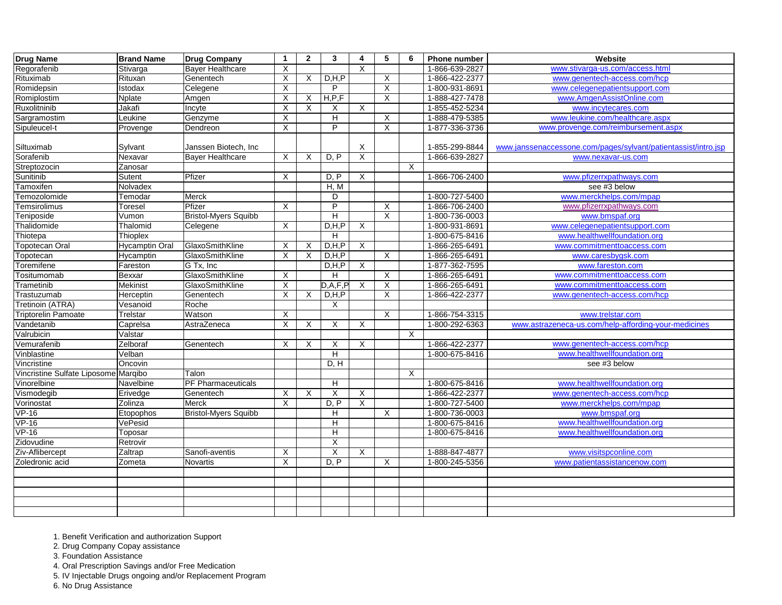| <b>Drug Name</b>                     | <b>Brand Name</b>     | <b>Drug Company</b>         | $\mathbf 1$ | $\overline{2}$ | $\mathbf{3}$   | 4                         | $5\phantom{1}$ | 6       | <b>Phone number</b> | Website                                                        |
|--------------------------------------|-----------------------|-----------------------------|-------------|----------------|----------------|---------------------------|----------------|---------|---------------------|----------------------------------------------------------------|
| Regorafenib                          | Stivarga              | <b>Bayer Healthcare</b>     | $\times$    |                |                | X                         |                |         | 1-866-639-2827      | www.stivarga-us.com/access.html                                |
| Rituximab                            | Rituxan               | Genentech                   | X           | X              | D, H, P        |                           | X              |         | 1-866-422-2377      | www.genentech-access.com/hcp                                   |
| Romidepsin                           | Istodax               | Celegene                    | $\times$    |                | P              |                           | $\pmb{\times}$ |         | 1-800-931-8691      | www.celegenepatientsupport.com                                 |
| Romiplostim                          | Nplate                | Amgen                       | $\times$    | X              | H, P, F        |                           | $\pmb{\times}$ |         | 1-888-427-7478      | www.AmgenAssistOnline.com                                      |
| Ruxolitninib                         | Jakafi                | Incyte                      | X           | X              | X              | X                         |                |         | 1-855-452-5234      | www.incytecares.com                                            |
| Sargramostim                         | Leukine               | Genzyme                     | X           |                | Н              |                           | X              |         | 1-888-479-5385      | www.leukine.com/healthcare.aspx                                |
| Sipuleucel-t                         | Provenge              | Dendreon                    | X           |                | P              |                           | $\overline{X}$ |         | 1-877-336-3736      | www.provenge.com/reimbursement.aspx                            |
| Siltuximab                           | Sylvant               | Janssen Biotech, Inc        |             |                |                | X                         |                |         | 1-855-299-8844      | www.janssenaccessone.com/pages/sylvant/patientassist/intro.jsp |
| Sorafenib                            | Nexavar               | <b>Bayer Healthcare</b>     | X           | X              | D, P           | $\mathsf X$               |                |         | 1-866-639-2827      | www.nexavar-us.com                                             |
| Streptozocin                         | Zanosar               |                             |             |                |                |                           |                | $\sf X$ |                     |                                                                |
| Sunitinib                            | Sutent                | Pfizer                      | X           |                | D, P           | X                         |                |         | 1-866-706-2400      | www.pfizerrxpathways.com                                       |
| Tamoxifen                            | Nolvadex              |                             |             |                | H, M           |                           |                |         |                     | see #3 below                                                   |
| Temozolomide                         | Temodar               | Merck                       |             |                | D              |                           |                |         | 1-800-727-5400      | www.merckhelps.com/mpap                                        |
| Temsirolimus                         | <b>Toresel</b>        | Pfizer                      | X           |                | P              |                           | X              |         | 1-866-706-2400      | www.pfizerrxpathways.com                                       |
| Teniposide                           | Vumon                 | <b>Bristol-Myers Squibb</b> |             |                | H              |                           | $\overline{X}$ |         | 1-800-736-0003      | www.bmspaf.org                                                 |
| Thalidomide                          | Thalomid              | Celegene                    | X           |                | D, H, P        | X                         |                |         | 1-800-931-8691      | www.celegenepatientsupport.com                                 |
| Thiotepa                             | <b>Thioplex</b>       |                             |             |                | Н              |                           |                |         | 1-800-675-8416      | www.healthwellfoundation.org                                   |
| <b>Topotecan Oral</b>                | <b>Hycamptin Oral</b> | GlaxoSmithKline             | X           | $\times$       | D, H, P        | X                         |                |         | 1-866-265-6491      | www.commitmenttoaccess.com                                     |
| Topotecan                            | Hycamptin             | GlaxoSmithKline             | X           | $\times$       | D, H, P        |                           | X              |         | 1-866-265-6491      | www.caresbygsk.com                                             |
| Toremifene                           | Fareston              | G Tx, Inc                   |             |                | D, H, P        | X                         |                |         | 1-877-362-7595      | www.fareston.com                                               |
| Tositumomab                          | Bexxar                | GlaxoSmithKline             | X           |                | H              |                           | X              |         | 1-866-265-6491      | www.commitmenttoaccess.com                                     |
| Trametinib                           | Mekinist              | GlaxoSmithKline             | X           |                | D, A, F, P     | $\boldsymbol{\mathsf{X}}$ | X              |         | 1-866-265-6491      | www.commitmenttoaccess.com                                     |
| Trastuzumab                          | Herceptin             | Genentech                   | X           | X              | D, H, P        |                           | X              |         | 1-866-422-2377      | www.genentech-access.com/hcp                                   |
| Tretinoin (ATRA)                     | Vesanoid              | Roche                       |             |                | X              |                           |                |         |                     |                                                                |
| <b>Triptorelin Pamoate</b>           | <b>Trelstar</b>       | Watson                      | X           |                |                |                           | X              |         | 1-866-754-3315      | www.trelstar.com                                               |
| Vandetanib                           | Caprelsa              | AstraZeneca                 | X           | X              | X              | X                         |                |         | 1-800-292-6363      | www.astrazeneca-us.com/help-affording-your-medicines           |
| Valrubicin                           | Valstar               |                             |             |                |                |                           |                | X       |                     |                                                                |
| Vemurafenib                          | Zelboraf              | Genentech                   | $\times$    | X              | X              | $\boldsymbol{\mathsf{X}}$ |                |         | 1-866-422-2377      | www.genentech-access.com/hcp                                   |
| Vinblastine                          | Velban                |                             |             |                | $\mathsf{H}$   |                           |                |         | 1-800-675-8416      | www.healthwellfoundation.org                                   |
| Vincristine                          | Oncovin               |                             |             |                | D, H           |                           |                |         |                     | see #3 below                                                   |
| Vincristine Sulfate Liposome Marqibo |                       | Talon                       |             |                |                |                           |                | X       |                     |                                                                |
| Vinorelbine                          | Navelbine             | PF Pharmaceuticals          |             |                | Η              |                           |                |         | 1-800-675-8416      | www.healthwellfoundation.org                                   |
| Vismodegib                           | Erivedge              | Genentech                   | X           | X              | Χ              | X                         |                |         | 1-866-422-2377      | www.genentech-access.com/hcp                                   |
| Vorinostat                           | Zolinza               | Merck                       | $\sf X$     |                | D, P           | $\boldsymbol{\mathsf{X}}$ |                |         | 1-800-727-5400      | www.merckhelps.com/mpap                                        |
| $VP-16$                              | Etopophos             | <b>Bristol-Myers Squibb</b> |             |                | $\overline{H}$ |                           | $\mathsf{X}$   |         | 1-800-736-0003      | www.bmspaf.org                                                 |
| $VP-16$                              | VePesid               |                             |             |                | Η              |                           |                |         | 1-800-675-8416      | www.healthwellfoundation.org                                   |
| <b>VP-16</b>                         | Toposar               |                             |             |                | H              |                           |                |         | 1-800-675-8416      | www.healthwellfoundation.org                                   |
| Zidovudine                           | Retrovir              |                             |             |                | X              |                           |                |         |                     |                                                                |
| Ziv-Aflibercept                      | Zaltrap               | Sanofi-aventis              | X           |                | X              | X                         |                |         | 1-888-847-4877      | www.visitspconline.com                                         |
| Zoledronic acid                      | Zometa                | Novartis                    | X           |                | D, P           |                           | X              |         | 1-800-245-5356      | www.patientassistancenow.com                                   |
|                                      |                       |                             |             |                |                |                           |                |         |                     |                                                                |
|                                      |                       |                             |             |                |                |                           |                |         |                     |                                                                |
|                                      |                       |                             |             |                |                |                           |                |         |                     |                                                                |
|                                      |                       |                             |             |                |                |                           |                |         |                     |                                                                |
|                                      |                       |                             |             |                |                |                           |                |         |                     |                                                                |

2. Drug Company Copay assistance

3. Foundation Assistance

4. Oral Prescription Savings and/or Free Medication

5. IV Injectable Drugs ongoing and/or Replacement Program